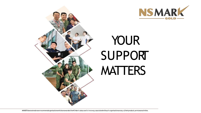



# YOUR SUPPORT **MATTERS**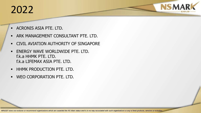### 2022

- **ACRONIS ASIA PTE. LTD.**
- **ARK MANAGEMENT CONSULTANT PTE. LTD.**
- **EX CIVIL AVIATION AUTHORITY OF SINGAPORE**
- **ENERGY WAVE WORLDWIDE PTE. LTD.** f.k.a HHMK PTE. LTD. f.k.a LIFEMAX ASIA PTE. LTD.
- **HHMK PRODUCTION PTE. LTD.**
- WEO CORPORATION PTE. LTD.

MINDEF does not endorse or recommend organisations which are awarded the NS Mark status and is in no way associated with such organisations or any of their products, services or activities.

**NSMAR**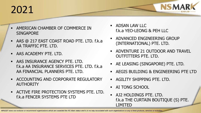### 2021

- AMERICAN CHAMBER OF COMMERCE IN **SINGAPORE**
- AAS @ 217 EAST COAST ROAD PTE. LTD. f.k.a AA TRAFFIC PTE. LTD.
- AAS ACADEMY PTE. LTD.
- **AAS INSURANCE AGENCY PTE. LTD.** f.k.a AA INSURANCE SERVICES PTE. LTD. f.k.a AA FINANCIAL PLANNERS PTE. LTD.
- **ACCOUNTING AND CORPORATE REGULATORY** AUTHORITY
- **ACTIVE FIRE PROTECTION SYSTEMS PTE. LTD.** f.k.a FENCER SYSTEMS PTE LTD
- **ADSAN LAW LLC** f.k.a YEO-LEONG & PEH LLC
- **ADVANCED ENGINEERING GROUP** (INTERNATIONAL) PTE. LTD.
- **ADVENTURE 21 OUTDOOR AND TRAVEL** OUTFITTERS PTE. LTD.

**NSMA** 

- AE LEASING (SINGAPORE) PTE. LTD.
- AEGIS BUILDING & ENGINEERING PTE LTD
- **AGILITY SHIPPING PTE. LTD.**
- **AI TONG SCHOOL**
- AJ2 HOLDINGS PTE. LTD. f.k.a THE CURTAIN BOUTIQUE (S) PTE. LIMITED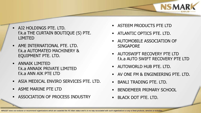- AJ2 HOLDINGS PTE. LTD. f.k.a THE CURTAIN BOUTIQUE (S) PTE. LIMITED
- **AME INTERNATIONAL PTE. LTD.** f.k.a AUTOMATED MACHINERY & EQUIPMENT PTE. LTD.
- **ANNAIK LIMITED** f.k.a ANNAIK PRIVATE LIMITED f.k.a ANN AIK PTE LTD
- ASIA MEDICAL ENVIRO SERVICES PTE. LTD.
- **ASME MARINE PTE LTD**

.

**ASSOCIATION OF PROCESS INDUSTRY** 

- ASTEEM PRODUCTS PTE LTD
- **ATLANTIC OPTICS PTE. LTD.**
- AUTOMOBILE ASSOCIATION OF **SINGAPORE**
- AUTOSWIFT RECOVERY PTE LTD f.k.a AUTO SWIFT RECOVERY PTE LTD

**NSMA** 

- **AUTOWORLD HUB PTE. LTD.**
- AV ONE FM & ENGINEERING PTE. LTD.
- **BANLI TRADING PTE. LTD.**
- BENDEMEER PRIMARY SCHOOL
- BLACK DOT PTE. LTD.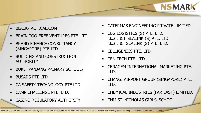- BLACK-TACTICAL.COM
- BRAIN-TOO-FREE VENTURES PTE. LTD.
- BRAND FINANCE CONSULTANCY (SINGAPORE) PTE LTD
- BUILDING AND CONSTRUCTION **AUTHORITY**
- BUKIT PANJANG PRIMARY SCHOOL\
- BUSADS PTE LTD
- CA SAFETY TECHNOLOGY PTE LTD
- CAMP CHALLENGE PTE. LTD.
- CASINO REGULATORY AUTHORITY

CATERMAS ENGINEERING PRIVATE LIMITED

**NSMAR** 

- CBG LOGISTICS (S) PTE. LTD. f.k.a J & F SEALINK (S) PTE. LTD. f.k.a J &F SEALINK (S) PTE. LTD.
- CELLIGENICS PTE. LTD.
- CEN TECH PTE. LTD.
- CERAGEM INTERNATIONAL MARKETING PTE. LTD.
- CHANGI AIRPORT GROUP (SINGAPORE) PTE. LTD.
- CHEMICAL INDUSTRIES (FAR EAST) LIMITED.
- CHIJ ST. NICHOLAS GIRLS' SCHOOL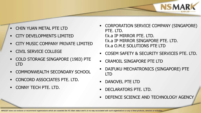- CHIN YUAN METAL PTE LTD
- CITY DEVELOPMENTS LIMITED
- CITY MUSIC COMPANY PRIVATE LIMITED
- CIVIL SERVICE COLLEGE
- COLD STORAGE SINGAPORE (1983) PTE LTD
- COMMONWEALTH SECONDARY SCHOOL
- CONCORD ASSOCIATES PTE. LTD.
- CONNY TECH PTE. LTD.

 CORPORATION SERVICE COMPANY (SINGAPORE) PTE. LTD. f.k.a IP MIRROR PTE. LTD. f.k.a IP MIRROR SINGAPORE PTE. LTD. f.k.a O.M.E SOLUTIONS PTE LTD

**NSMAR** 

- COSEM SAFETY & SECURITY SERVICES PTE. LTD.
- CRAMOIL SINGAPORE PTE LTD
- **DAIFUKU MECHATRONICS (SINGAPORE) PTE** LTD
- DANOVEL PTE LTD
- **DECLARATORS PTE. LTD.**
- **DEFENCE SCIENCE AND TECHNOLOGY AGENCY**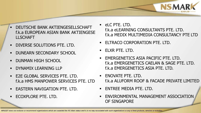- DEUTSCHE BANK AKTIENGESELLSCHAFT f.k.a EUROPEAN ASIAN BANK AKTIENGESE LLSCHAFT
- DIVERSE SOLUTIONS PTE. LTD.
- **DUNEARN SECONDARY SCHOOL**
- DUNMAN HIGH SCHOOL
- DYNAMIX LEARNING LLP
- **E2E GLOBAL SERVICES PTE. LTD.** f.k.a HMS MANPOWER SERVICES PTE. LTD
- EASTERN NAVIGATION PTE. LTD.
- ECOXPLORE PTE. LTD.

 eLC PTE. LTD. f.k.a eLEARNING CONSULTANTS PTE. LTD. f.k.a MEDIX MULTIMEDIA CONSULTANCY PTE LTD

**NSMA** 

- **ELTRACO CORPORATION PTE. LTD.**
- **ELXR PTE. LTD.**
- **EMERGENETICS ASIA PACIFIC PTE. LTD.** f.k.a EMERGENETICS CAELAN & SAGE PTE. LTD. f.k.a EMERGENETICS ASIA PTE. LTD.
- **ENOVATE PTE. LTD.** f.k.a ALUFORM ROOF & FACADE PRIVATE LIMITED
- **ENTREE MEDIA PTE. LTD.**
- **ENVIRONMENTAL MANAGEMENT ASSOCIATION** OF SINGAPORE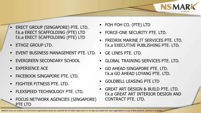- ERECT GROUP (SINGAPORE) PTE. LTD. f.k.a ERECT SCAFFOLDING (PTE) LTD f.k.a ERECT SCAFFOLDING (PTE) LTD
- ETHOZ GROUP LTD.
- EVENT BUSINESS MANAGEMENT PTE. LTD. GE LINES PTE. LTD.
- EVERGREEN SECONDARY SCHOOL
- EXPERIENCE ACE
- FACEBOOK SINGAPORE PTE. LTD.
- **FIGHTER FITNESS PTE. LTD.**
- FLEXSPEED TECHNOLOGY PTE. LTD.
- FOCUS NETWORK AGENCIES (SINGAPORE) PTE LTD
- FOH FOH CO. (PTE) LTD
- **FORCE-ONE SECURITY PTE. LTD.**
- **FREDRIK MARINE IT SERVICES PTE. LTD.** f.k.a EXECUTIVE PUBLISHING PTE. LTD.

**NSMA** 

- 
- GLOBAL TRAINING SERVICES PTE. LTD.
- **GO AHEAD SINGAPORE PTE. LTD.** f.k.a GO AHFAD LOYANG PTF. LTD.
- GOLDBELL LEASING PTE LTD
- GREAT ART DESIGN & BUILD PTE. LTD. f.k.a GREAT ART INTERIOR DESIGN AND CONTRACT PTE. LTD.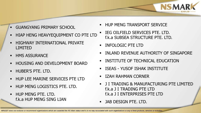- GUANGYANG PRIMARY SCHOOL
- HIAP HENG HEAVYEQUIPMENT CO PTE LTD
- **HIGHWAY INTERNATIONAL PRIVATE** LIMITED
- HMS ASSURANCE
- HOUSING AND DEVELOPMENT BOARD
- HUBER'S PTE. LTD.
- HUP LEE MARINE SERVICES PTE LTD
- HUP MENG LOGISTICS PTE. LTD.
- **HUP MENG PTE. LTD.** f.k.a HUP MENG SING LIAN
- **HUP MENG TRANSPORT SERVICE**
- IEG OILFIELD SERVICES PTE. LTD. f.k.a SUBSEA STRUCTURE PTE. LTD.
- **INFOLOGIC PTE LTD**
- INLAND REVENUE AUTHORITY OF SINGAPORE

**NSMA** 

- **EXECUTE OF TECHNICAL EDUCATION**
- **ISEAS YUSOF ISHAK INSTITUTE**
- **E** IZAH RAHMAN CORNER
- J I TRADING & MANUFACTURING PTE LIMITED f.k.a J I TRADING PTE LTD f.k.a J I ENTERPRISES PTE LTD
- **JAB DESIGN PTE. LTD.**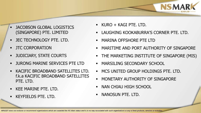- JACOBSON GLOBAL LOGISTICS (SINGAPORE) PTE. LIMITED
- **-** JEC TECHNOLOGY PTE. LTD.
- JTC CORPORATION
- JUDICIARY, STATE COURTS
- JURONG MARINE SERVICES PTE LTD
- KACIFIC BROADBAND SATELLITES LTD. f.k.a KACIFIC BROADBAND SATELLITES PTE. LTD.
- KEE MARINE PTE. LTD.
- KEYFIELDS PTE. LTD.
- KURO + KAGI PTE. LTD.
- LAUGHING KOOKABURRA'S CORNER PTE. LTD.
- MARINA OFFSHORE PTE LTD
- MARITIME AND PORT AUTHORITY OF SINGAPORE

**NSMAR** 

- **THE MARKETING INSTITUTE OF SINGAPORE (MIS)**
- **MARSILING SECONDARY SCHOOL**
- **MCS UNITED GROUP HOLDINGS PTE. LTD.**
- **MONETARY AUTHORITY OF SINGAPORE**
- NAN CHIAU HIGH SCHOOL
- **NANOSUN PTE. LTD.**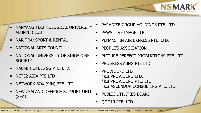- NANYANG TECHNOLOGICAL UNIVERSITY ALUMNI CLUB
- **NAR TRANSPORT & RENTAL**
- NATIONAL ARTS COUNCIL
- NATIONAL UNIVERSITY OF SINGAPORE **SOCIETY**
- NAUMI HOTELS SG PTE. LTD.
- NETE2 ASIA PTE LTD
- NETWORK BOX (SIN) PTE. LTD.
- NEW ZEALAND DEFENCE SUPPORT UNIT (SEA)

PARADISE GROUP HOLDINGS PTE. LTD.

**NSMAR** 

- PAWSITIVE IMAGE LLP
- **PENANSHIN AIR EXPRESS PTE. LTD.**
- **PEOPLE'S ASSOCIATION**
- PICTURE PERFECT PRODUCTIONS PTE. LTD.
- PROGRESS ABMS PTE LTD
- PROVIDEND LTD. f.k.a PROVIDEND LTD. f.k.a PROVIDEND PTE. LTD. f.k.a ASCENDUR CONSULTING PTE. LTD.
- PUBLIC UTILITIES BOARD
- QOO10 PTE. LTD.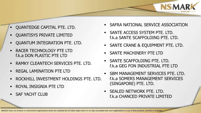- QUANTEDGE CAPITAL PTE. LTD.
- QUANTISYS PRIVATE LIMITED
- QUANTUM INTEGRATION PTE. LTD.
- RACER TECHNOLOGY PTE LTD f.k.a DON PLASTIC PTE LTD
- RAMKY CLEANTECH SERVICES PTE. LTD.
- REGAL LAMINATION PTE LTD
- ROCKHILL INVESTMENT HOLDINGS PTE. LTD.
- ROYAL INSIGNIA PTE LTD
- **SAF YACHT CLUB**

SAFRA NATIONAL SERVICE ASSOCIATION

**NSMA** 

- SANTE ACCESS SYSTEM PTE. LTD. f.k.a SANTE SCAFFOLDING PTE. LTD.
- **SANTE CRANE & EQUIPMENT PTE. LTD.**
- SANTE MACHINERY PTE LTD
- SANTE SCAFFOLDING PTE. LTD. f.k.a GEG FON INDUSTRIAL PTE LTD
- SBM MANAGEMENT SERVICES PTE. LTD. f.k.a SOMERS MANAGEMENT SERVICES (SINGAPORE) PTE. LTD.
- SEALED NETWORK PTE. LTD. f.k.a CHANCED PRIVATE LIMITED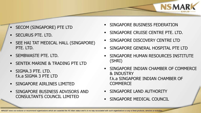- SECOM (SINGAPORE) PTE LTD
- SECURUS PTE. LTD.
- SEE HAI TAT MEDICAL HALL (SINGAPORE) PTE. LTD.
- SEMBWASTE PTE. LTD.
- SENTEK MARINE & TRADING PTE LTD
- SIGMA.3 PTE. LTD. f.k.a SIGMA 3 PTE LTD
- **SINGAPORE AIRLINES LIMITED**
- **SINGAPORE BUSINESS ADVISORS AND** CONSULTANTS COUNCIL LIMITED
- **SINGAPORE BUSINESS FEDERATION**
- SINGAPORE CRUISE CENTRE PTE. LTD.
- SINGAPORE DISCOVERY CENTRE LTD
- SINGAPORE GENERAL HOSPITAL PTE LTD
- SINGAPORE HUMAN RESOURCES INSTITUTE (SHRI)

**NSMAR** 

- SINGAPORE INDIAN CHAMBER OF COMMERCE & INDUSTRY f.k.a SINGAPORE INDIAN CHAMBER OF **COMMERCE**
- **SINGAPORE LAND AUTHORITY**
- SINGAPORE MEDICAL COUNCIL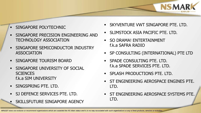- SINGAPORE POLYTECHNIC
- SINGAPORE PRECISION ENGINEERING AND TECHNOLOGY ASSOCIATION
- SINGAPORE SEMICONDUCTOR INDUSTRY ASSOCIATION
- SINGAPORE TOURISM BOARD
- SINGAPORE UNIVERSITY OF SOCIAL **SCIENCES** f.k.a SIM UNIVERSITY
- SINGSPRING PTE. LTD.
- SJ DEFENCE SERVICES PTE. LTD.
- **SKILLSFUTURE SINGAPORE AGENCY**

**SKYVENTURE VWT SINGAPORE PTE. LTD.** 

**NSMAR** 

- SLIMSTOCK ASIA PACIFIC PTE. LTD.
- SO DRAMA! ENTERTAINMENT f.k.a SAFRA RADIO
- **SP CONSULTING (INTERNATIONAL) PTE LTD**
- **SPADE CONSULTING PTE. LTD.** f.k.a SPADE SERVICES PTE. LTD.
- **SPLASH PRODUCTIONS PTE. LTD.**
- ST ENGINEERING AEROSPACE ENGINES PTE. LTD.
- **ST ENGINEERING AEROSPACE SYSTEMS PTE.** LTD.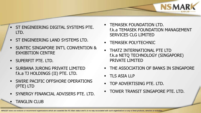- ST ENGINEERING DIGITAL SYSTEMS PTE. LTD.
- **ST ENGINEERING LAND SYSTEMS LTD.**
- SUNTEC SINGAPORE INT'L CONVENTION & EXHIBITION CENTRE
- SUPERFIT PTE. LTD.

TANGLIN CLUB

- SURBANA JURONG PRIVATE LIMITED f.k.a TJ HOLDINGS (II) PTE. LTD.
- SWIRE PACIFIC OFFSHORE OPERATIONS (PTE) LTD
- SYNERGY FINANCIAL ADVISERS PTE. LTD.

**TEMASEK FOUNDATION LTD.** f.k.a TEMASEK FOUNDATION MANAGEMENT SERVICES CLG LIMITED

**NSMAR** 

- TEMASEK POLYTECHNIC
- THATZ INTERNATIONAL PTE LTD f.k.a NETQ TECHNOLOGY (SINGAPORE) PRIVATE LIMITED
- **THE ASSOCIATION OF BANKS IN SINGAPORE**
- TLS ASIA LLP
- **TOP ADVERTISING PTE. LTD.**
- **TOWER TRANSIT SINGAPORE PTE. LTD.**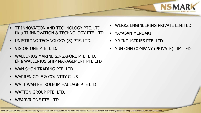- TT INNOVATION AND TECHNOLOGY PTE. LTD. f.k.a TJ INNOVATION & TECHNOLOGY PTE. LTD.
- UNISTRONG TECHNOLOGY (S) PTE. LTD.
- **VISION ONE PTF. LTD.**
- WALLENIUS MARINE SINGAPORE PTE. LTD. f.k.a WALLENIUS SHIP MANAGEMENT PTE LTD
- WAN SHON TRADING PTE. LTD.
- WARREN GOLF & COUNTRY CLUB
- WATT WAH PETROLEUM HAULAGE PTE LTD
- WATTON GROUP PTE. LTD.
- WEARVR.ONE PTE. LTD.

WERKZ ENGINEERING PRIVATE LIMITED

**NSMAR** 

- YAYASAN MENDAKI
- **YR INDUSTRIES PTE. LTD.**
- YUN ONN COMPANY (PRIVATE) LIMITED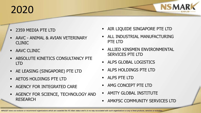## 2020

- 2359 MEDIA PTE LTD
- AAVC ANIMAL & AVIAN VETERINARY CLINIC
- AAVC CLINIC
- **ABSOLUTE KINETICS CONSULTANCY PTE** LTD
- AE LEASING (SINGAPORE) PTE LTD
- AETOS HOLDINGS PTE LTD
- AGENCY FOR INTEGRATED CARE
- AGENCY FOR SCIENCE, TECHNOLOGY AND RESEARCH

AIR LIQUIDE SINGAPORE PTE LTD

**NSMAR** 

- ALL INDUSTRIAL MANUFACTURING PTE LTD
- ALLIED KINSMEN ENVIRONMENTAL SERVICES PTE LTD
- **ALPS GLOBAL LOGISTICS**
- ALPS HOLDINGS PTE LTD
- ALPS PTE LTD
- **AMG CONCEPT PTE LTD**
- AMITY GLOBAL INSTITUTE
- **AMKFSC COMMUNITY SERVICES LTD**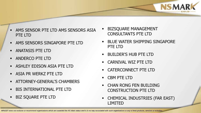- AMS SENSOR PTE LTD AMS SENSORS ASIA PTE LTD
- AMS SENSORS SINGAPORE PTE LTD
- ANATASIS PTE LTD
- **ANDERCO PTE LTD**
- ASHLEY EDISON ASIA PTE LTD
- ASIA PR WERKZ PTE LTD
- **EXATTORNEY-GENERAL'S CHAMBERS**
- BIS INTERNATIONAL PTE LTD
- BIZ SQUARE PTE LTD
- BIZSQUARE MANAGEMENT CONSULTANTS PTE LTD
- BLUE WATER SHIPPING SINGAPORE PTE LTD

**NSMAR** 

- BUILDER'S HUB PTE LTD
- CARNIVAL WIZ PTE LTD
- CATERCONNECT PTE LTD
- CBM PTE LTD
- CHAN RONG FEN BUILDING CONSTRUCTION PTE LTD
- CHEMICAL INDUSTRIES (FAR EAST) LIMITED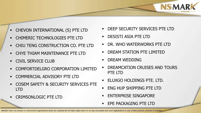- CHEVON INTERNATIONAL (S) PTE LTD
- CHIMERIC TECHNOLOGIES PTE LTD
- CHIU TENG CONSTRUCTION CO. PTE LTD
- CHYE THIAM MAINTENANCE PTE LTD
- **CIVIL SERVICE CLUB**
- **COMFORTDELGRO CORPORATION LIMITED**
- COMMERCIAL ADVISORY PTE LTD
- COSEM SAFETY & SECURITY SERVICES PTE LTD
- CRIMSONLOGIC PTE LTD

DEEP SECURITY SERVICES PTE LTD

**NSMAR** 

- DESISTI ASIA PTE LTD
- DR. WHO WATERWORKS PTE LTD
- DREAM STATION PTE LIMITED
- DREAM WEDDING
- DREAMCATION CRUISES AND TOURS PTE LTD
- ELUXGO HOLDINGS PTE. LTD.
- **ENG HUP SHIPPING PTE LTD**
- ENTERPRISE SINGAPORE
- **EPE PACKAGING PTE LTD**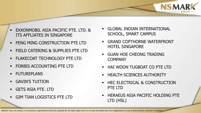

- **FENG MING CONSTRUCTION PTE LTD**
- FIELD CATERING & SUPPLIES PTE LTD
- **FLAKECOAT TECHNOLOGY PTE LTD**
- FORBIS ACCOUNTING PTE LTD
- **FUTUREPLANS**
- GAVIN'S TUITION
- GETS ASIA PTE. LTD
- GIM TIAN LOGISTICS PTE LTD

 GLOBAL INDIAN INTERNATIONAL SCHOOL, SMART CAMPUS

**NSMAR** 

- GRAND COPTHORNE WATERFRONT HOTEL SINGAPORE
- GUAN HOE CHEONG TRADING **COMPANY**
- **HAI WOON TUGBOAT CO PTE LTD**
- **EXECUTE SCIENCES AUTHORITY**
- HEC ELECTRICAL & CONSTRUCTION PTE LTD
- HERAEUS ASIA PACIFIC HOLDING PTE LTD (HSL)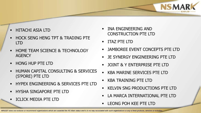- HITACHI ASIA LTD
- HOCK SENG HENG TPT & TRADING PTE LTD
- HOME TEAM SCIENCE & TECHNOLOGY **AGENCY**
- HONG HUP PTE LTD
- HUMAN CAPITAL CONSULTING & SERVICES (S'PORE) PTE LTD
- **HYPEX ENGINEERING & SERVICES PTE LTD**
- HYSHA SINGAPORE PTE LTD
- ICLICK MEDIA PTE LTD
- INA ENGINEERING AND CONSTRUCTION PTE LTD
- **ITAZ PTE LTD**
- JAMBOREE EVENT CONCEPTS PTE LTD

**NSMA** 

- JE SYNERGY ENGINEERING PTE LTD
- JOINT & Y ENTERPRISE PTE LTD
- KBA MARINE SERVICES PTE LTD
- KBA TRAINING PTE LTD
- KELVIN SNG PRODUCTIONS PTE LTD
- LA MARCA INTERNATIONAL PTE LTD
- LEONG POH KEE PTE LTD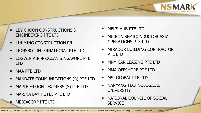- LEY CHOON CONSTRUCTIONS & ENGINEERING PTE LTD
- **LIH MING CONSTRUCTION P/L**
- LIONSBOT INTERNATIONAL PTE LTD
- **LOGWIN AIR + OCEAN SINGAPORE PTE** LTD
- MAA PTE LTD
- MANDATE COMMUNICATIONS (S) PTE LTD
- MAPLE FREIGHT EXPRESS (S) PTE LTD
- **NARINA BAY HOTEL PTE LTD**
- MEDIACORP PTE LTD
- MEL'S HUB PTE LTD
- MICRON SEMICONDUCTOR ASIA OPERATIONS PTE LTD

**NSMAR** 

- MIRADOR BUILDING CONTRACTOR PTE LTD
- **NKM CAR LEASING PTE LTD**
- MMA OFFSHORE PTE LTD
- **NSI GLOBAL PTE LTD**
- NANYANG TECHNOLOGICAL **UNIVERSITY**
- NATIONAL COUNCIL OF SOCIAL **SERVICE**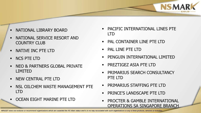- NATIONAL LIBRARY BOARD
- NATIONAL SERVICE RESORT AND COUNTRY CLUB
- NATIVE INC PTE LTD
- NCS PTE LTD
- NEO & PARTNERS GLOBAL PRIVATE LIMITED
- **NEW CENTRAL PTE LTD**
- NSL OILCHEM WASTE MANAGEMENT PTE LTD
- OCEAN EIGHT MARINE PTE LTD

 PACIFIC INTERNATIONAL LINES PTE LTD

**NSMAR** 

- PAL CONTAINER LINE PTE LTD
- **PAL LINE PTF LTD**
- PENGUIN INTERNATIONAL LIMITED
- PREZTIGEZ ASIA PTE LTD
- PRIMARIUS SEARCH CONSULTANCY PTE LTD
- **PRIMARIUS STAFFING PTE LTD**
- **PRINCE'S LANDSCAPE PTE LTD**
- **PROCTER & GAMBLE INTERNATIONAL** OPERATIONS SA SINGAPORE BRANCH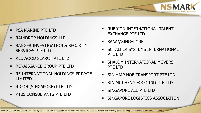- PSA MARINE PTE LTD
- RAINDROP HOLDINGS LLP
- RANGER INVESTIGATION & SECURITY SERVICES PTE LTD
- **REDWOOD SEARCH PTE LTD**
- RENAISSANCE GROUP PTE LTD
- **EXECUTERNATIONAL HOLDINGS PRIVATE** LIMITED
- RICOH (SINGAPORE) PTE LTD
- **RTBS CONSULTANTS PTE LTD**

 RUBICON INTERNATIONAL TALENT EXCHANGE PTE LTD

**NSMAR** 

- SAAA@SINGAPORE
- SCHAEFER SYSTEMS INTERNATIONAL PTE LTD
- SHALOM INTERNATIONAL MOVERS PTE LTD
- SIN HIAP HOE TRANSPORT PTE LTD
- SIN MUI HENG FOOD IND PTE LTD
- SINGAPORE ALE PTE LTD
- SINGAPORE LOGISTICS ASSOCIATION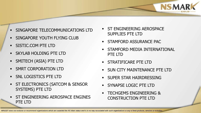- SINGAPORE TELECOMMUNICATIONS LTD
- SINGAPORE YOUTH FLYING CLUB
- **SISTIC.COM PTE LTD**
- SKYLAB HOLDING PTE LTD
- **SMITECH (ASIA) PTE LTD**
- **SMRT CORPORATION LTD**
- **SNL LOGISTICS PTE LTD**
- ST ELECTRONICS (SATCOM & SENSOR SYSTEMS) PTE LTD
- ST ENGINEERING AEROSPACE ENGINES PTE LTD
- ST ENGINEERING AEROSPACE SUPPLIES PTE LTD
- **STAMFORD ASSURANCE PAC**
- STAMFORD MEDIA INTERNATIONAL PTE LTD

**NSMAR** 

- **STRATIFICARE PTE LTD**
- SUN CITY MAINTENANCE PTE LTD
- SUPER STAR HAIRDRESSING
- SYNAPSE LOGIC PTE LTD
- TECHGEMS ENGINEERING & CONSTRUCTION PTE LTD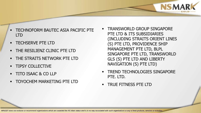- TECHNOFORM BAUTEC ASIA PACIFIC PTE LTD
- TECHSERVE PTE LTD
- THE RESILIENZ CLINIC PTE LTD
- **THE STRAITS NETWORK PTE LTD**
- TIPSY COLLECTIVE
- TITO ISAAC & CO LLP
- TOYOCHEM MARKETING PTE LTD

 TRANSWORLD GROUP SINGAPORE PTE LTD & ITS SUBSIDIARIES (INCLUDING STRAITS ORIENT LINES (S) PTE LTD, PROVIDENCE SHIP MANAGEMENT PTE LTD, BLPL SINGAPORE PTE LTD, TRANSWORLD GLS (S) PTE LTD AND LIBERTY NAVIGATION (S) PTE LTD)

**NSMAR** 

- TREND TECHNOLOGIES SINGAPORE PTE. LTD.
- TRUE FITNESS PTE LTD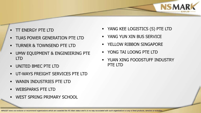- TT ENERGY PTE LTD
- TUAS POWER GENERATION PTE LTD
- **TURNER & TOWNSEND PTE LTD**
- UMW EQUIPMENT & ENGINEERING PTE LTD
- UNITED BMEC PTE LTD
- UT-WAYS FREIGHT SERVICES PTE LTD
- WANIN INDUSTRIES PTE LTD
- WEBSPARKS PTE LTD
- WEST SPRING PRIMARY SCHOOL

YANG KEE LOGISTICS (S) PTE LTD

**NSMAR** 

- YANG YUN XIN BUS SERVICE
- **EXAMPLE THE YELLOW RIBBON SINGAPORE**
- YONG TAI LOONG PTE LTD
- **YUAN XING FOODSTUFF INDUSTRY** PTE LTD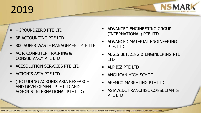### 2019

- +GROUNDZERO PTE LTD
- 3E ACCOUNTING PTE LTD
- 800 SUPER WASTE MANAGEMENT PTE LTE
- AC P. COMPUTER TRAINING & CONSULTANCY PTE LTD
- ACESOLUTION SERVICES PTE LTD
- ACRONIS ASIA PTE LTD
- (INCLUDING ACRONIS ASIA RESEARCH AND DEVELOPMENT PTE LTD AND ACRONIS INTERNATIONAL PTE LTD)
- ADVANCED ENGINEERING GROUP (INTERNATIONAL) PTE LTD
- ADVANCED MATERIAL ENGINEERING PTE. LTD.

**NSMAR** 

- AEGIS BUILDING & ENGINEERING PTE LTD
- ALP BIZ PTE LTD
- ANGLICAN HIGH SCHOOL
- APEMCO MARKETING PTE LTD
- ASIAWIDE FRANCHISE CONSULTANTS PTE LTD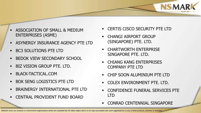- ASSOCIATION OF SMALL & MEDIUM ENTERPRISES (ASME)
- **ASYNERGY INSURANCE AGENCY PTE LTD**
- BC3 SOLUTIONS PTE LTD
- **BEDOK VIEW SECONDARY SCHOOL**
- BIZ VISION GROUP PTE. LTD.
- BLACK-TACTICAL.COM
- BOK SENG LOGISTICS PTE LTD
- BRAINERGY INTERNATIONAL PTE LTD
- CENTRAL PROVIDENT FUND BOARD

CERTIS CISCO SECURITY PTE LTD

**NSMAR** 

- CHANGI AIRPORT GROUP (SINGAPORE) PTE. LTD.
- CHARTWORTH ENTERPRISE SINGAPORE PTE. LTD.
- CHIANG KANG ENTERPRISES COMPANY PTE LTD
- CHIP SOON ALUMINIUM PTE LTD
- COLEX ENVIRONMENT PTE. LTD.
- CONFIDENCE FUNERAL SERVICES PTE LTD
- CONRAD CENTENNIAL SINGAPORE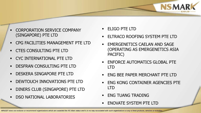- CORPORATION SERVICE COMPANY (SINGAPORE) PTE LTD
- CPG FACILITIES MANAGEMENT PTE LTD
- CTES CONSULTING PTE LTD
- **CYC INTERNATIONAL PTE LTD**
- DESFRAN CONSULTING PTE LTD
- DESKERA SINGAPORE PTE LTD
- DEWTOUCH INNOVATIONS PTE LTD
- DINERS CLUB (SINGAPORE) PTE LTD
- DSO NATIONAL LABORATORIES
- ELIGO PTE LTD
- ELTRACO ROOFING SYSTEM PTE LTD

**NSMAR** 

- EMERGENETICS CAELAN AND SAGE (OPERATING AS EMERGENETICS ASIA PACIFIC)
- ENFORCE AUTOMATICS GLOBAL PTE LTD
- ENG BEE PAPER MERCHANT PTE LTD
- ENG KONG CONTAINER AGENCIES PTE LTD
- ENG TUANG TRADING
- ENOVATE SYSTEM PTE LTD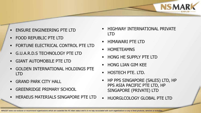- ENSURE ENGINEERING PTE LTD
- FOOD REPUBLIC PTE LTD
- **FORTUNE ELECTRICAL CONTROL PTE LTD**
- G.U.A.R.D.S TECHNOLOGY PTE LTD
- GIANT AUTOMOBILE PTE LTD
- GOLDEN INTERNATIONAL HOLDINGS PTE LTD
- GRAND PARK CITY HALL
- GREENRIDGE PRIMARY SCHOOL
- HERAEUS MATERIALS SINGAPORE PTE LTD

 HIGHWAY INTERNATIONAL PRIVATE LTD

**NSMAR** 

- HIMAWARI PTE LTD
- HOMETEAMNS
- HONG HE SUPPLY PTE LTD
- HONG LIAN GIM KEE
- HOSTECH PTE. LTD.
- HP PPS SINGAPORE (SALES) LTD, HP PPS ASIA PACIFIC PTE LTD, HP SINGAPORE (PRIVATE) LTD
- **HUORGLCOLOGY GLOBAL PTE LTD**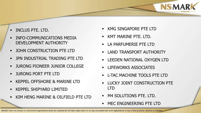- INCLUS PTE. LTD.
- INFO-COMMUNICATIONS MEDIA DEVELOPMENT AUTHORITY
- JOHN CONSTRUCTION PTE LTD
- JPN INDUSTRIAL TRADING PTE LTD
- **URONG PIONEER JUNIOR COLLEGE**
- JURONG PORT PTE LTD
- KEPPEL OFFSHORE & MARINE LTD
- KEPPEL SHIPYARD LIMITED
- KIM HENG MARINE & OILFIELD PTE LTD

KMG SINGAPORE PTE LTD

**NSMAR** 

- KMT MARINE PTE. LTD.
- LA PARFUMERIE PTE LTD
- **LAND TRANSPORT AUTHORITY**
- **ELEEDEN NATIONAL OXYGEN LTD**
- **LIFEWORKS ASSOCIATES**
- L-TAC MACHINE TOOLS PTE LTD
- **LUCKY JOINT CONSTRUCTION PTE** LTD
- **M4 SOLUTIONS PTE. LTD.**
- MEC ENGINEERING PTE LTD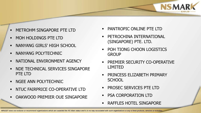- METROHM SINGAPORE PTE LTD
- MOH HOLDINGS PTE LTD
- **NANYANG GIRLS' HIGH SCHOOL**
- NANYANG POLYTECHNIC
- **NATIONAL ENVIRONMENT AGENCY**
- **NDE TECHNICAL SERVICES SINGAPORE** PTE LTD
- **NGEE ANN POLYTECHNIC**
- NTUC FAIRPRICE CO-OPERATIVE LTD
- OAKWOOD PREMIER OUE SINGAPORE

**PANTROPIC ONLINE PTE LTD** 

**NSMAR** 

- PETROCHINA INTERNATIONAL (SINGAPORE) PTE. LTD.
- POH TIONG CHOON LOGISTICS **GROUP**
- PREMIER SECURITY CO-OPERATIVE LIMITED
- **PRINCESS ELIZABETH PRIMARY SCHOOL**
- PROSEC SERVICES PTE LTD
- PSA CORPORATION LTD
- RAFFLES HOTEL SINGAPORE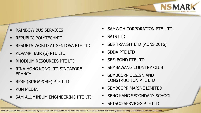- RAINBOW BUS SERVICES
- REPUBLIC POLYTECHNIC
- RESORTS WORLD AT SENTOSA PTE LTD
- REVAMP HAIR (S) PTE LTD.
- RHODIUM RESOURCES PTE LTD
- RINA HONG KONG LTD SINGAPORE **BRANCH**
- RPRE (SINGAPORE) PTE LTD
- RUN MEDIA
- SAM ALUMINIUM ENGINEERING PTE LTD

SAMWOH CORPORATION PTE. LTD.

**NSMAR** 

- SATS LTD
- **SBS TRANSIT LTD (AONS 2016)**
- SDDA PTE LTD
- SEELBOND PTE LTD
- SEMBAWANG COUNTRY CLUB
- SEMBCORP DESIGN AND CONSTRUCTION PTE LTD
- SEMBCORP MARINE LIMITED
- **SENG KANG SECONDARY SCHOOL**
- SETSCO SERVICES PTE LTD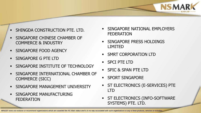- SHINGDA CONSTRUCTION PTE. LTD.
- SINGAPORE CHINESE CHAMBER OF COMMERCE & INDUSTRY
- SINGAPORE FOOD AGENCY
- SINGAPORE G PTE LTD
- SINGAPORE INSTITUTE OF TECHNOLOGY
- SINGAPORE INTERNATIONAL CHAMBER OF COMMERCE (SICC)
- SINGAPORE MANAGEMENT UNIVERSITY
- SINGAPORE MANUFACTURING FEDERATION

 SINGAPORE NATIONAL EMPLOYERS FEDERATION

**NSMAR** 

- **SINGAPORE PRESS HOLDINGS** LIMITED
- SMRT CORPORATION LTD
- SPCI PTE LTD
- SPIC & SPAN PTE LTD
- **SPORT SINGAPORE**
- **ST ELECTRONICS (E-SERVICES) PTE** LTD
- **ST ELECTRONICS (INFO-SOFTWARE** SYSTEMS) PTE. LTD.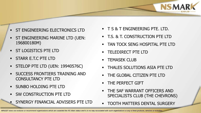- ST ENGINEERING ELECTRONICS LTD
- ST ENGINEERING MARINE LTD (UEN: 196800180M)
- ST LOGISTICS PTE LTD
- STARR E.T.C PTE LTD
- STELOP PTE LTD (UEN: 19940576C)
- SUCCESS FRONTIERS TRAINING AND CONSULTANCY PTE LTD
- SUNBO HOLDING PTE LTD
- SW CONSTRUCTION PTE LTD
- SYNERGY FINANCIAL ADVISERS PTE LTD
- **T S & T ENGINEERING PTE. LTD.**
- T.S. & T. CONSTRUCTION PTE LTD
- TAN TOCK SENG HOSPITAL PTE LTD

**NSMAR** 

- **TELEDIRECT PTE LTD**
- TEMASEK CLUB
- **THALES SOLUTIONS ASIA PTE LTD**
- THE GLOBAL CITIZEN PTE LTD
- THE PERFECT GIFT
- THE SAF WARRANT OFFICERS AND SPECIALISTS CLUB (THE CHEVRONS)
- **TOOTH MATTERS DENTAL SURGERY**